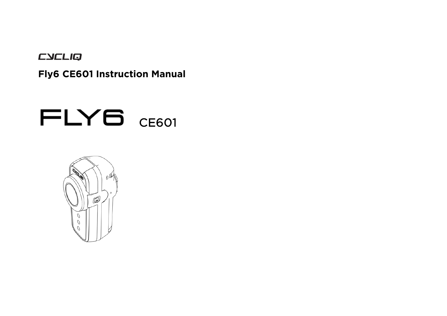CYCLIQ

**Fly6 CE601 Instruction Manual** 

# FLY6 CE601

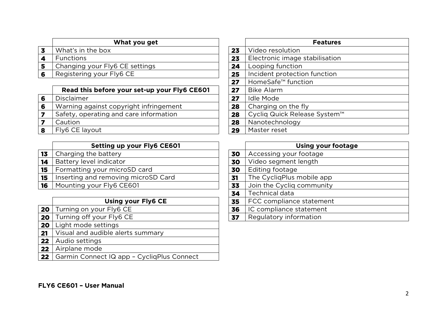| What you get                   |        | <b>Features</b>                                               |
|--------------------------------|--------|---------------------------------------------------------------|
| What's in the box              | 23     | Video resolution                                              |
| <b>Functions</b>               | 23     | Electronic image stabilisation                                |
| Changing your Fly6 CE settings | 24     | Looping function                                              |
| Registering your Fly6 CE       | 25     | Incident protection function                                  |
|                                | $\sim$ | $L_{\text{OM}}$ $C$ $5$ fo <sup><math>M</math></sup> function |

|   | Read this before your set-up your Fly6 CE601 | 27 | Bike Alarm                   |
|---|----------------------------------------------|----|------------------------------|
| 6 | <b>Disclaimer</b>                            | 27 | <b>Idle Mode</b>             |
| 6 | Warning against copyright infringement       | 28 | Charging on the fly          |
|   | Safety, operating and care information       | 28 | Cyclig Quick Release System™ |
|   | Caution                                      | 28 | Nanotechnology               |
|   | Fly6 CE layout                               | 29 | Master reset                 |

|    | <b>Setting up your Fly6 CE601</b>   |    | Using your f              |
|----|-------------------------------------|----|---------------------------|
| 13 | Charging the battery                | 30 | Accessing your footage    |
| 14 | Battery level indicator             | 30 | Video segment length      |
| 15 | Formatting your microSD card        | 30 | Editing footage           |
| 15 | Inserting and removing microSD Card | 31 | The CycligPlus mobile app |
| 16 | Mounting your Fly6 CE601            | 33 | Join the Cycliq community |
|    |                                     |    |                           |

|                 | <b>Using your Fly6 CE</b>                  | 35 | FCC compliance statement |
|-----------------|--------------------------------------------|----|--------------------------|
| 20              | Turning on your Fly6 CE                    | 36 | IC compliance statement  |
| 20              | Turning off your Fly6 CE                   | 37 | Regulatory information   |
| 20              | Light mode settings                        |    |                          |
| 21              | Visual and audible alerts summary          |    |                          |
| 22              | Audio settings                             |    |                          |
| 22              | Airplane mode                              |    |                          |
| 22 <sub>2</sub> | Garmin Connect IQ app - CycliqPlus Connect |    |                          |
|                 |                                            |    |                          |

| What you get                |    | <b>Features</b>                |
|-----------------------------|----|--------------------------------|
|                             | 23 | Video resolution               |
|                             | 23 | Electronic image stabilisation |
| 6 CE settings               | 24 | Looping function               |
| ly6 CE                      | 25 | Incident protection function   |
|                             | 27 | HomeSafe <sup>™</sup> function |
| your set-up your Fly6 CE601 | 27 | <b>Bike Alarm</b>              |
|                             | 27 | <b>Idle Mode</b>               |
| opyright infringement       | 28 | Charging on the fly            |
| and care information        | 28 | Cycliq Quick Release System™   |
|                             | 28 | Nanotechnology                 |
|                             | 29 | Master reset                   |

| <b>Setting up your Fly6 CE601</b> |    | <b>Using your footage</b> |
|-----------------------------------|----|---------------------------|
| e battery                         | 30 | Accessing your footage    |
| el indicator                      | 30 | Video segment length      |
| your microSD card                 | 30 | Editing footage           |
| d removing microSD Card           | 31 | The CycliqPlus mobile app |
| our Fly6 CE601                    | 33 | Join the Cycliq community |
|                                   | 34 | <b>Technical data</b>     |
| <b>Using your Fly6 CE</b>         | 35 | FCC compliance statement  |
| your Fly6 CE                      | 36 | IC compliance statement   |
| your Fly6 CE                      | 37 | Regulatory information    |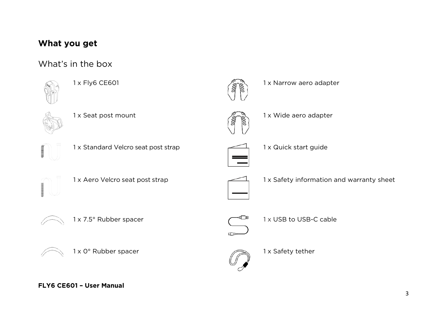### **What you get**

### What's in the box









1 x Fly6 CE601 1 x Narrow aero adapter



1 x Seat post mount 1 x Seat post mount



1 x Standard Velcro seat post strap 1 x Quick start guide







1 x Aero Velcro seat post strap 1 x Safety information and warranty sheet





1 x 0° Rubber spacer 1 x Safety tether



 $1 \times 7.5^\circ$  Rubber spacer  $\qquad \qquad$  1 x USB to USB-C cable

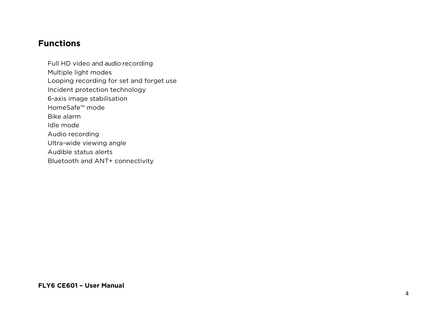#### **Functions**

Full HD video and audio recording Multiple light modes Looping recording for set and forget use Incident protection technology 6-axis image stabilisation HomeSafe™ mode Bike alarm Idle mode Audio recording Ultra-wide viewing angle Audible status alerts Bluetooth and ANT+ connectivity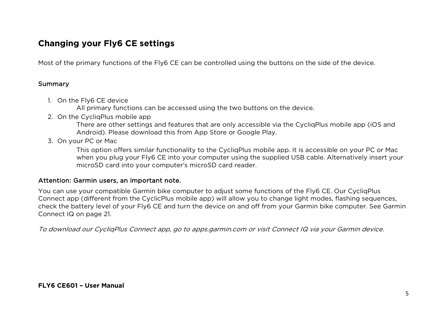### **Changing your Fly6 CE settings**

Most of the primary functions of the Fly6 CE can be controlled using the buttons on the side of the device.

#### Summary

- 1. On the Fly6 CE device
	- All primary functions can be accessed using the two buttons on the device.
- 2. On the CycliaPlus mobile app

There are other settings and features that are only accessible via the CycliqPlus mobile app (iOS and Android). Please download this from App Store or Google Play.

3. On your PC or Mac

This option offers similar functionality to the CycliqPlus mobile app. It is accessible on your PC or Mac when you plug your Fly6 CE into your computer using the supplied USB cable. Alternatively insert your microSD card into your computer's microSD card reader.

#### Attention: Garmin users, an important note.

You can use your compatible Garmin bike computer to adjust some functions of the Fly6 CE. Our CycliqPlus Connect app (different from the CyclicPlus mobile app) will allow you to change light modes, flashing sequences, check the battery level of your Fly6 CE and turn the device on and off from your Garmin bike computer. See Garmin Connect IQ on page 21.

To download our CycliqPlus Connect app, go to apps.garmin.com or visit Connect IQ via your Garmin device.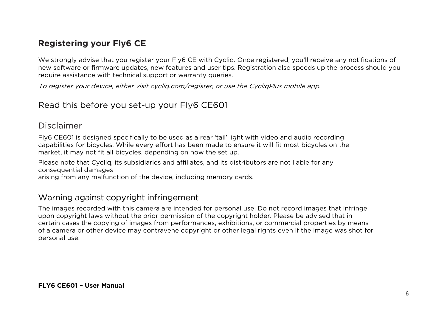### **Registering your Fly6 CE**

We strongly advise that you register your Fly6 CE with Cycliq. Once registered, you'll receive any notifications of new software or firmware updates, new features and user tips. Registration also speeds up the process should you require assistance with technical support or warranty queries.

To register your device, either visit cycliq.com/register, or use the CycliqPlus mobile app.

#### Read this before you set-up your Fly6 CE601

#### Disclaimer

Fly6 CE601 is designed specifically to be used as a rear 'tail' light with video and audio recording capabilities for bicycles. While every effort has been made to ensure it will fit most bicycles on the market, it may not fit all bicycles, depending on how the set up.

Please note that Cycliq, its subsidiaries and affiliates, and its distributors are not liable for any consequential damages

arising from any malfunction of the device, including memory cards.

#### Warning against copyright infringement

The images recorded with this camera are intended for personal use. Do not record images that infringe upon copyright laws without the prior permission of the copyright holder. Please be advised that in certain cases the copying of images from performances, exhibitions, or commercial properties by means of a camera or other device may contravene copyright or other legal rights even if the image was shot for personal use.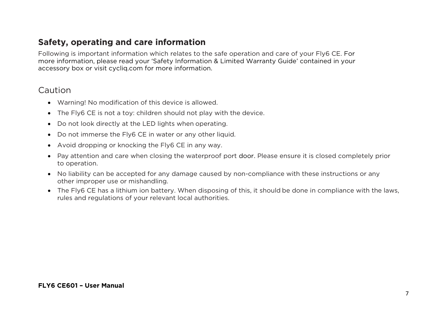### **Safety, operating and care information**

Following is important information which relates to the safe operation and care of your Fly6 CE. For more information, please read your 'Safety Information & Limited Warranty Guide' contained in your accessory box or visit cycliq.com for more information.

#### Caution

- Warning! No modification of this device is allowed.
- The Fly6 CE is not a toy: children should not play with the device.
- Do not look directly at the LED lights when operating.
- Do not immerse the Fly6 CE in water or any other liquid.
- Avoid dropping or knocking the Fly6 CE in any way.
- Pay attention and care when closing the waterproof port door. Please ensure it is closed completely prior to operation.
- No liability can be accepted for any damage caused by non-compliance with these instructions or any other improper use or mishandling.
- The Fly6 CE has a lithium ion battery. When disposing of this, it should be done in compliance with the laws, rules and regulations of your relevant local authorities.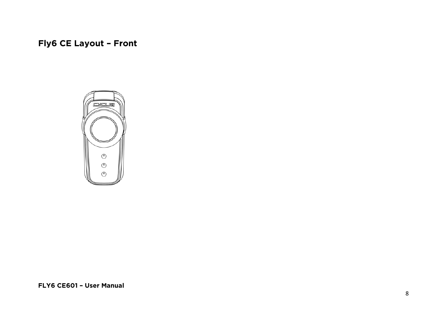**Fly6 CE Layout – Front**

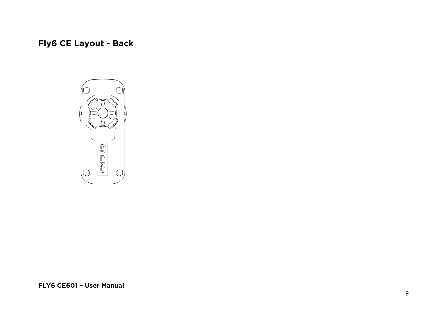## **Fly6 CE Layout - Back**

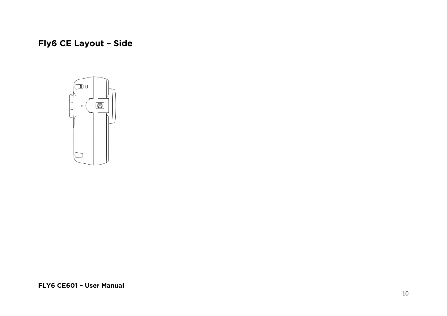## **Fly6 CE Layout – Side**

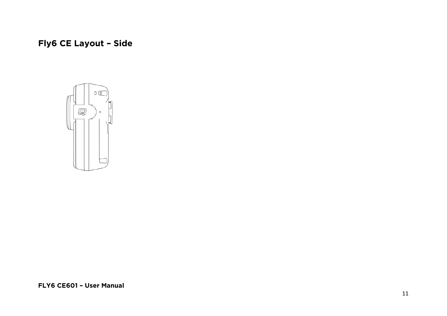## **Fly6 CE Layout – Side**

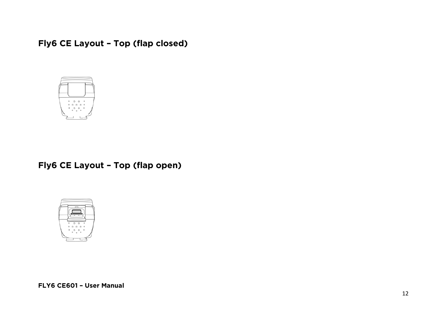**Fly6 CE Layout – Top (flap closed)**



**Fly6 CE Layout – Top (flap open)**

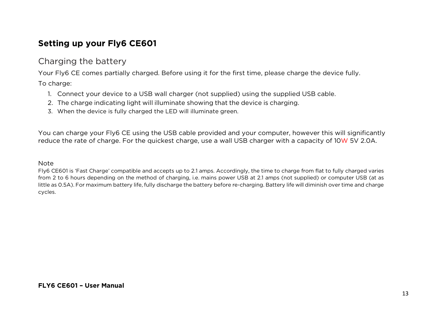### **Setting up your Fly6 CE601**

#### Charging the battery

Your Fly6 CE comes partially charged. Before using it for the first time, please charge the device fully.

To charge:

- 1. Connect your device to a USB wall charger (not supplied) using the supplied USB cable.
- 2. The charge indicating light will illuminate showing that the device is charging.
- 3. When the device is fully charged the LED will illuminate green.

You can charge your Fly6 CE using the USB cable provided and your computer, however this will significantly reduce the rate of charge. For the quickest charge, use a wall USB charger with a capacity of 10W 5V 2.0A.

#### Note

Fly6 CE601 is 'Fast Charge' compatible and accepts up to 2.1 amps. Accordingly, the time to charge from flat to fully charged varies from 2 to 6 hours depending on the method of charging, i.e. mains power USB at 2.1 amps (not supplied) or computer USB (at as little as 0.5A). For maximum battery life, fully discharge the battery before re-charging. Battery life will diminish over time and charge cycles.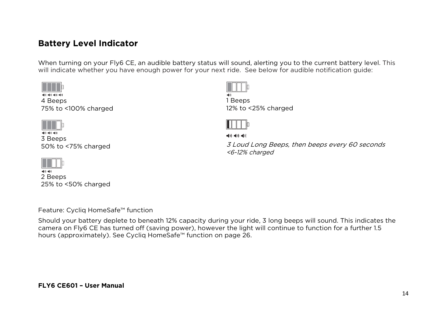### **Battery Level Indicator**

When turning on your Fly6 CE, an audible battery status will sound, alerting you to the current battery level. This will indicate whether you have enough power for your next ride. See below for audible notification guide:

| l II b                 |  |
|------------------------|--|
| 예비 예비 예비 예비<br>4 Beeps |  |
| 75% to <100% charged   |  |



3 Beeps 50% to <75% charged



 $\blacktriangleleft() \blacktriangleright \blacktriangleleft() \blacktriangleright$ 2 Beeps 25% to <50% charged



1 Beeps 12% to <25% charged



 $\blacktriangleleft$ (i)  $\blacktriangleleft$ (i)  $\blacktriangleleft$ 

3 Loud Long Beeps, then beeps every 60 seconds <6-12% charged

Feature: Cycliq HomeSafe™ function

Should your battery deplete to beneath 12% capacity during your ride, 3 long beeps will sound. This indicates the camera on Fly6 CE has turned off (saving power), however the light will continue to function for a further 1.5 hours (approximately). See Cycliq HomeSafe™ function on page 26.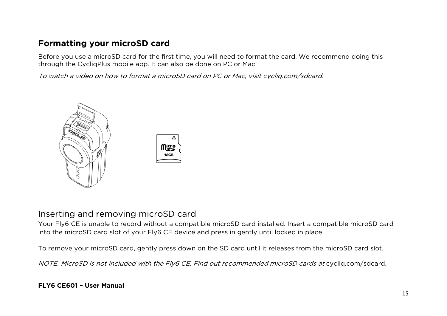### **Formatting your microSD card**

Before you use a microSD card for the first time, you will need to format the card. We recommend doing this through the CycliqPlus mobile app. It can also be done on PC or Mac.

To watch a video on how to format a microSD card on PC or Mac, visit cycliq.com/sdcard.



#### Inserting and removing microSD card

Your Fly6 CE is unable to record without a compatible microSD card installed. Insert a compatible microSD card into the microSD card slot of your Fly6 CE device and press in gently until locked in place.

To remove your microSD card, gently press down on the SD card until it releases from the microSD card slot.

NOTE: MicroSD is not included with the Fly6 CE. Find out recommended microSD cards at cycliq.com/sdcard.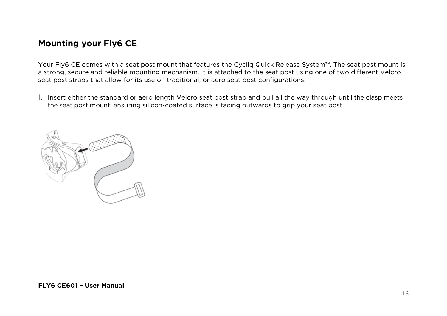### **Mounting your Fly6 CE**

Your Fly6 CE comes with a seat post mount that features the Cycliq Quick Release System™. The seat post mount is a strong, secure and reliable mounting mechanism. It is attached to the seat post using one of two different Velcro seat post straps that allow for its use on traditional, or aero seat post configurations.

1. Insert either the standard or aero length Velcro seat post strap and pull all the way through until the clasp meets the seat post mount, ensuring silicon-coated surface is facing outwards to grip your seat post.

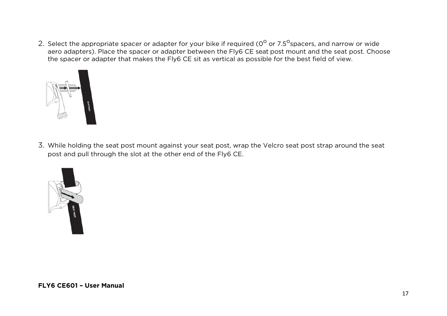2. Select the appropriate spacer or adapter for your bike if required ( $0^{\circ}$  or 7.5<sup>o</sup>spacers, and narrow or wide aero adapters). Place the spacer or adapter between the Fly6 CE seat post mount and the seat post. Choose the spacer or adapter that makes the Fly6 CE sit as vertical as possible for the best field of view.



3. While holding the seat post mount against your seat post, wrap the Velcro seat post strap around the seat post and pull through the slot at the other end of the Fly6 CE.

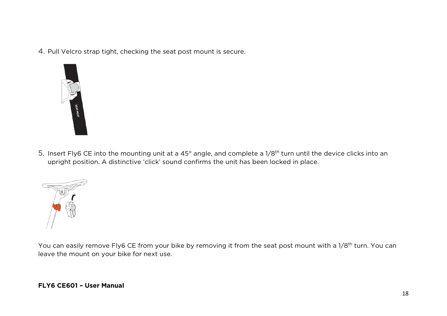4. Pull Velcro strap tight, checking the seat post mount is secure.



5. Insert Fly6 CE into the mounting unit at a 45° angle, and complete a 1/8<sup>th</sup> turn until the device clicks into an upright position. A distinctive 'click' sound confirms the unit has been locked in place.



You can easily remove Fly6 CE from your bike by removing it from the seat post mount with a 1/8<sup>th</sup> turn. You can leave the mount on your bike for next use.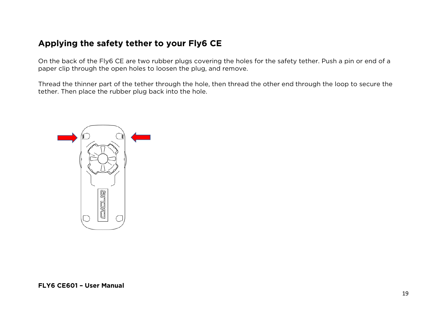### **Applying the safety tether to your Fly6 CE**

On the back of the Fly6 CE are two rubber plugs covering the holes for the safety tether. Push a pin or end of a paper clip through the open holes to loosen the plug, and remove.

Thread the thinner part of the tether through the hole, then thread the other end through the loop to secure the tether. Then place the rubber plug back into the hole.

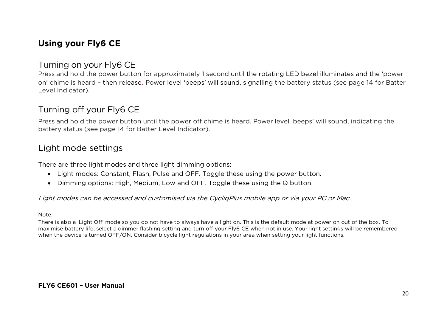### **Using your Fly6 CE**

#### Turning on your Fly6 CE

Press and hold the power button for approximately 1 second until the rotating LED bezel illuminates and the 'power on' chime is heard – then release. Power level 'beeps' will sound, signalling the battery status (see page 14 for Batter Level Indicator).

### Turning off your Fly6 CE

Press and hold the power button until the power off chime is heard. Power level 'beeps' will sound, indicating the battery status (see page 14 for Batter Level Indicator).

### Light mode settings

There are three light modes and three light dimming options:

- Light modes: Constant, Flash, Pulse and OFF. Toggle these using the power button.
- Dimming options: High, Medium, Low and OFF. Toggle these using the Q button.

#### Light modes can be accessed and customised via the CycliqPlus mobile app or via your PC or Mac.

#### Note:

There is also a 'Light Off' mode so you do not have to always have a light on. This is the default mode at power on out of the box. To maximise battery life, select a dimmer flashing setting and turn off your Fly6 CE when not in use. Your light settings will be remembered when the device is turned OFF/ON. Consider bicycle light regulations in your area when setting your light functions.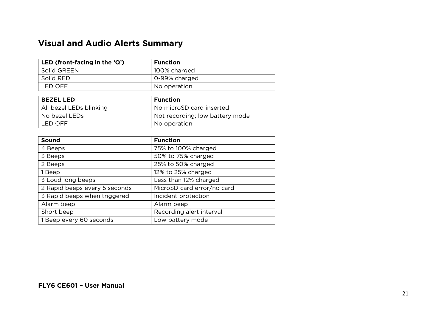### **Visual and Audio Alerts Summary**

| LED (front-facing in the $\mathbf{Q}$ ) | <b>Function</b> |
|-----------------------------------------|-----------------|
| Solid GREEN                             | 100% charged    |
| Solid RED                               | O-99% charged   |
| LED OFF                                 | No operation    |

| <b>BEZEL LED</b>        | <b>Function</b>                 |
|-------------------------|---------------------------------|
| All bezel LEDs blinking | No microSD card inserted        |
| No bezel LEDs           | Not recording; low battery mode |
| I LED OFF.              | No operation                    |

| Sound                         | <b>Function</b>            |
|-------------------------------|----------------------------|
| 4 Beeps                       | 75% to 100% charged        |
| 3 Beeps                       | 50% to 75% charged         |
| 2 Beeps                       | 25% to 50% charged         |
| 1 Beep                        | 12% to 25% charged         |
| 3 Loud long beeps             | Less than 12% charged      |
| 2 Rapid beeps every 5 seconds | MicroSD card error/no card |
| 3 Rapid beeps when triggered  | Incident protection        |
| Alarm beep                    | Alarm beep                 |
| Short beep                    | Recording alert interval   |
| 1 Beep every 60 seconds       | Low battery mode           |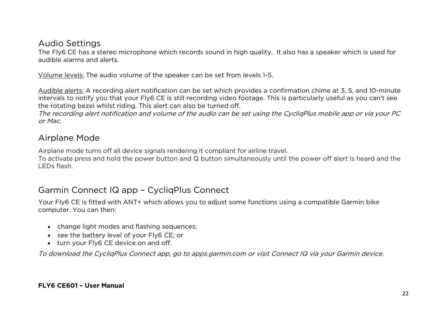#### Audio Settings

The Fly6 CE has a stereo microphone which records sound in high quality. It also has a speaker which is used for audible alarms and alerts.

Volume levels: The audio volume of the speaker can be set from levels 1-5.

Audible alerts: A recording alert notification can be set which provides a confirmation chime at 3, 5, and 10-minute intervals to notify you that your Fly6 CE is still recording video footage. This is particularly useful as you can't see the rotating bezel whilst riding. This alert can also be turned off.

The recording alert notification and volume of the audio can be set using the CycliqPlus mobile app or via your PC or Mac.

### Airplane Mode

Airplane mode turns off all device signals rendering it compliant for airline travel.

To activate press and hold the power button and Q button simultaneously until the power off alert is heard and the LEDs flash.

### Garmin Connect IQ app – CycliqPlus Connect

Your Fly6 CE is fitted with ANT+ which allows you to adjust some functions using a compatible Garmin bike computer. You can then:

- change light modes and flashing sequences;
- see the battery level of your Fly6 CE; or
- turn your Fly6 CE device on and off.

To download the CycliqPlus Connect app, go to apps.garmin.com or visit Connect IQ via your Garmin device.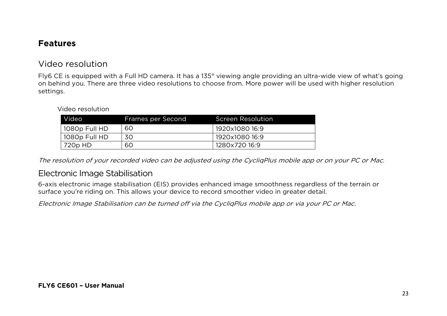#### **Features**

#### Video resolution

Fly6 CE is equipped with a Full HD camera. It has a 135° viewing angle providing an ultra-wide view of what's going on behind you. There are three video resolutions to choose from. More power will be used with higher resolution settings.

#### Video resolution

| Video <sup>1</sup> | Frames per Second | <b>Screen Resolution</b> |
|--------------------|-------------------|--------------------------|
| 1080p Full HD      | 60                | 1920x1080 16:9           |
| 1080p Full HD      | 30                | 1920x1080 16:9           |
| 720p HD            | 60                | 1280x720 16:9            |

The resolution of your recorded video can be adjusted using the CycliqPlus mobile app or on your PC or Mac.

#### Electronic Image Stabilisation

6-axis electronic image stabilisation (EIS) provides enhanced image smoothness regardless of the terrain or surface you're riding on. This allows your device to record smoother video in greater detail.

Electronic Image Stabilisation can be turned off via the CycliqPlus mobile app or via your PC or Mac.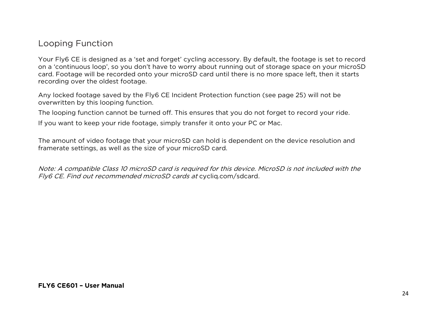#### Looping Function

Your Fly6 CE is designed as a 'set and forget' cycling accessory. By default, the footage is set to record on a 'continuous loop', so you don't have to worry about running out of storage space on your microSD card. Footage will be recorded onto your microSD card until there is no more space left, then it starts recording over the oldest footage.

Any locked footage saved by the Fly6 CE Incident Protection function (see page 25) will not be overwritten by this looping function.

The looping function cannot be turned off. This ensures that you do not forget to record your ride.

If you want to keep your ride footage, simply transfer it onto your PC or Mac.

The amount of video footage that your microSD can hold is dependent on the device resolution and framerate settings, as well as the size of your microSD card.

Note: A compatible Class 10 microSD card is required for this device. MicroSD is not included with the Fly6 CE. Find out recommended microSD cards at cycliq.com/sdcard.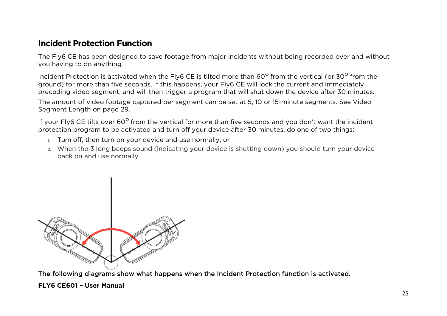#### **Incident Protection Function**

The Fly6 CE has been designed to save footage from major incidents without being recorded over and without you having to do anything.

Incident Protection is activated when the Fly6 CE is tilted more than 60<sup>o</sup> from the vertical (or 30<sup>o</sup> from the ground) for more than five seconds. If this happens, your Fly6 CE will lock the current and immediately preceding video segment, and will then trigger a program that will shut down the device after 30 minutes.

The amount of video footage captured per segment can be set at 5, 10 or 15-minute segments. See Video Segment Length on page 29.

If your Fly6 CE tilts over 60<sup>o</sup> from the vertical for more than five seconds and you don't want the incident protection program to be activated and turn off your device after 30 minutes, do one of two things:

- 1. Turn off, then turn on your device and use normally; or
- 2. When the 3 long beeps sound (indicating your device is shutting down) you should turn your device back on and use normally.



The following diagrams show what happens when the Incident Protection function is activated.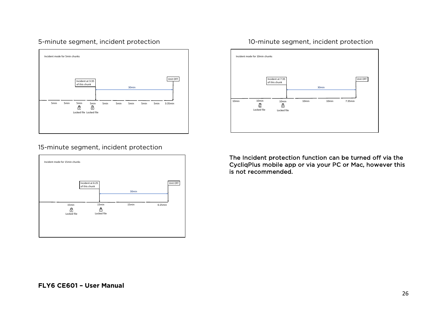#### 5-minute segment, incident protection 10-minute segment, incident protection





#### 15-minute segment, incident protection



The Incident protection function can be turned off via the CycliqPlus mobile app or via your PC or Mac, however this is not recommended.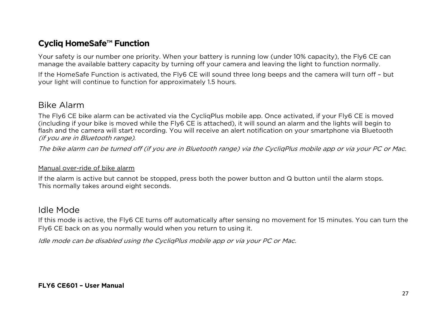### **Cycliq HomeSafe™ Function**

Your safety is our number one priority. When your battery is running low (under 10% capacity), the Fly6 CE can manage the available battery capacity by turning off your camera and leaving the light to function normally.

If the HomeSafe Function is activated, the Fly6 CE will sound three long beeps and the camera will turn off – but your light will continue to function for approximately 1.5 hours.

#### Bike Alarm

The Fly6 CE bike alarm can be activated via the CycliqPlus mobile app. Once activated, if your Fly6 CE is moved (including if your bike is moved while the Fly6 CE is attached), it will sound an alarm and the lights will begin to flash and the camera will start recording. You will receive an alert notification on your smartphone via Bluetooth (if you are in Bluetooth range).

The bike alarm can be turned off (if you are in Bluetooth range) via the CycliqPlus mobile app or via your PC or Mac.

#### Manual over-ride of bike alarm

If the alarm is active but cannot be stopped, press both the power button and Q button until the alarm stops. This normally takes around eight seconds.

#### Idle Mode

If this mode is active, the Fly6 CE turns off automatically after sensing no movement for 15 minutes. You can turn the Fly6 CE back on as you normally would when you return to using it.

Idle mode can be disabled using the CycliqPlus mobile app or via your PC or Mac.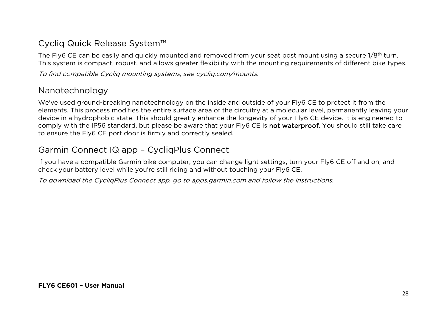### Cycliq Quick Release System™

The Fly6 CE can be easily and quickly mounted and removed from your seat post mount using a secure 1/8<sup>th</sup> turn. This system is compact, robust, and allows greater flexibility with the mounting requirements of different bike types.

To find compatible Cycliq mounting systems, see cycliq.com/mounts.

### Nanotechnology

We've used ground-breaking nanotechnology on the inside and outside of your Fly6 CE to protect it from the elements. This process modifies the entire surface area of the circuitry at a molecular level, permanently leaving your device in a hydrophobic state. This should greatly enhance the longevity of your Fly6 CE device. It is engineered to comply with the IP56 standard, but please be aware that your Fly6 CE is not waterproof. You should still take care to ensure the Fly6 CE port door is firmly and correctly sealed.

### Garmin Connect IQ app – CycliqPlus Connect

If you have a compatible Garmin bike computer, you can change light settings, turn your Fly6 CE off and on, and check your battery level while you're still riding and without touching your Fly6 CE.

To download the CycliqPlus Connect app, go to apps.garmin.com and follow the instructions.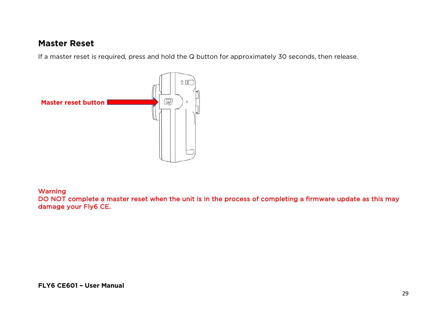#### **Master Reset**

If a master reset is required, press and hold the Q button for approximately 30 seconds, then release.



#### Warning

DO NOT complete a master reset when the unit is in the process of completing a firmware update as this may damage your Fly6 CE.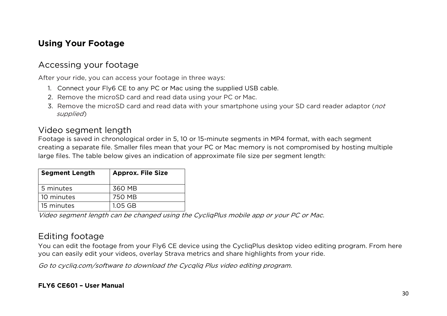### **Using Your Footage**

### Accessing your footage

After your ride, you can access your footage in three ways:

- 1. Connect your Fly6 CE to any PC or Mac using the supplied USB cable.
- 2. Remove the microSD card and read data using your PC or Mac.
- 3. Remove the microSD card and read data with your smartphone using your SD card reader adaptor (not supplied)

#### Video segment length

Footage is saved in chronological order in 5, 10 or 15-minute segments in MP4 format, with each segment creating a separate file. Smaller files mean that your PC or Mac memory is not compromised by hosting multiple large files. The table below gives an indication of approximate file size per segment length:

| <b>Segment Length</b> | <b>Approx. File Size</b> |
|-----------------------|--------------------------|
| 5 minutes             | 360 MB                   |
| 10 minutes            | 750 MB                   |
| 15 minutes            | 1.05 GB                  |

Video segment length can be changed using the CycliqPlus mobile app or your PC or Mac.

### Editing footage

You can edit the footage from your Fly6 CE device using the CycliqPlus desktop video editing program. From here you can easily edit your videos, overlay Strava metrics and share highlights from your ride.

Go to cycliq.com/software to download the Cycqliq Plus video editing program.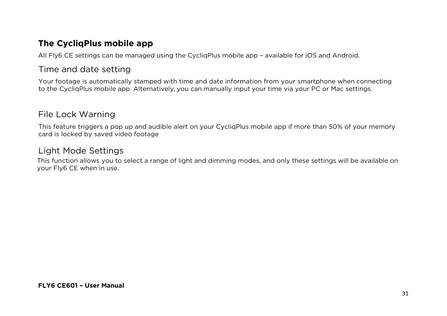#### **The CycliqPlus mobile app**

All Fly6 CE settings can be managed using the CycliqPlus mobile app – available for iOS and Android.

#### Time and date setting

Your footage is automatically stamped with time and date information from your smartphone when connecting to the CycliqPlus mobile app. Alternatively, you can manually input your time via your PC or Mac settings.

### File Lock Warning

This feature triggers a pop up and audible alert on your CycliqPlus mobile app if more than 50% of your memory card is locked by saved video footage

### Light Mode Settings

This function allows you to select a range of light and dimming modes, and only these settings will be available on your Fly6 CE when in use.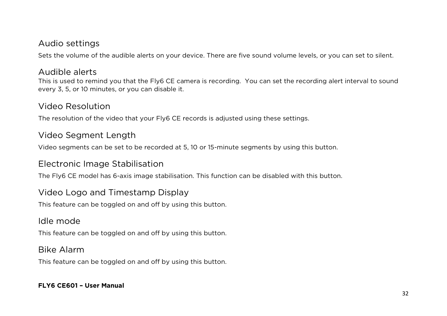#### Audio settings

Sets the volume of the audible alerts on your device. There are five sound volume levels, or you can set to silent.

#### Audible alerts

This is used to remind you that the Fly6 CE camera is recording. You can set the recording alert interval to sound every 3, 5, or 10 minutes, or you can disable it.

#### Video Resolution

The resolution of the video that your Fly6 CE records is adjusted using these settings.

#### Video Segment Length

Video segments can be set to be recorded at 5, 10 or 15-minute segments by using this button.

#### Electronic Image Stabilisation

The Fly6 CE model has 6-axis image stabilisation. This function can be disabled with this button.

#### Video Logo and Timestamp Display

This feature can be toggled on and off by using this button.

#### Idle mode

This feature can be toggled on and off by using this button.

#### Bike Alarm

This feature can be toggled on and off by using this button.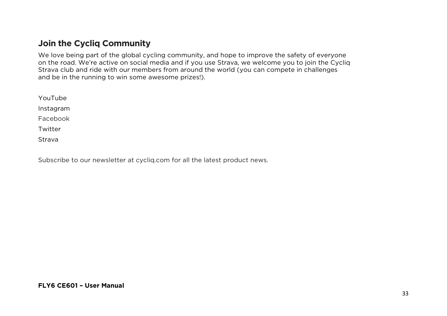#### **Join the Cycliq Community**

We love being part of the global cycling community, and hope to improve the safety of everyone on the road. We're active on social media and if you use Strava, we welcome you to join the Cycliq Strava club and ride with our members from around the world (you can compete in challenges and be in the running to win some awesome prizes!).

YouTube Instagram Facebook Twitter

Strava

Subscribe to our newsletter at cycliq.com for all the latest product news.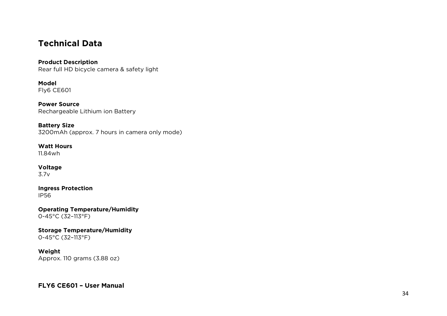#### **Technical Data**

#### **Product Description** Rear full HD bicycle camera & safety light

**Model** Fly6 CE601

**Power Source** Rechargeable Lithium ion Battery

**Battery Size** 3200mAh (approx. 7 hours in camera only mode )

**Watt Hours** 11.84wh

**Voltage** 3. 7 v

**Ingress Protection** IP56

**Operating Temperature/Humidity** 0 -45°C (32 –113°F)

**Storage Tem perature/Humidity** 0 -45°C (32 –113°F)

**Weight** Approx. 110 grams (3.88 oz)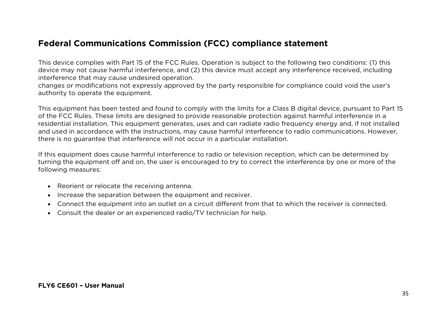#### **Federal Communications Commission (FCC) compliance statement**

This device complies with Part 15 of the FCC Rules. Operation is subject to the following two conditions: (1) this device may not cause harmful interference, and (2) this device must accept any interference received, including interference that may cause undesired operation.

changes or modifications not expressly approved by the party responsible for compliance could void the user's authority to operate the equipment.

This equipment has been tested and found to comply with the limits for a Class B digital device, pursuant to Part 15 of the FCC Rules. These limits are designed to provide reasonable protection against harmful interference in a residential installation. This equipment generates, uses and can radiate radio frequency energy and, if not installed and used in accordance with the instructions, may cause harmful interference to radio communications. However, there is no guarantee that interference will not occur in a particular installation.

If this equipment does cause harmful interference to radio or television reception, which can be determined by turning the equipment off and on, the user is encouraged to try to correct the interference by one or more of the following measures:

- Reorient or relocate the receiving antenna.
- Increase the separation between the equipment and receiver.
- Connect the equipment into an outlet on a circuit different from that to which the receiver is connected.
- Consult the dealer or an experienced radio/TV technician for help.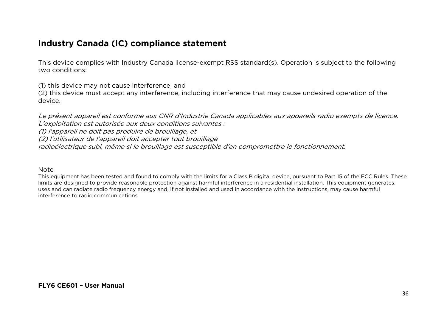#### **Industry Canada (IC) compliance statement**

This device complies with Industry Canada license-exempt RSS standard(s). Operation is subject to the following two conditions:

(1) this device may not cause interference; and

(2) this device must accept any interference, including interference that may cause undesired operation of the device.

Le présent appareil est conforme aux CNR d'Industrie Canada applicables aux appareils radio exempts de licence. L'exploitation est autorisée aux deux conditions suivantes :

(1) l'appareil ne doit pas produire de brouillage, et

(2) l'utilisateur de l'appareil doit accepter tout brouillage

radioélectrique subi, même si le brouillage est susceptible d'en compromettre le fonctionnement.

#### Note

This equipment has been tested and found to comply with the limits for a Class B digital device, pursuant to Part 15 of the FCC Rules. These limits are designed to provide reasonable protection against harmful interference in a residential installation. This equipment generates, uses and can radiate radio frequency energy and, if not installed and used in accordance with the instructions, may cause harmful interference to radio communications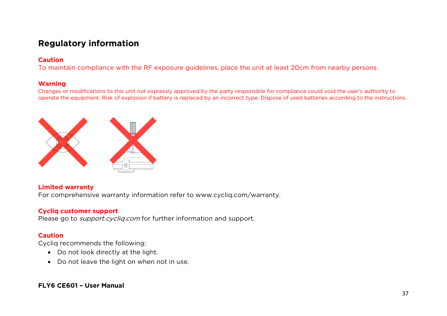### **Regulatory information**

#### **Caution**

To maintain compliance with the RF exposure guidelines, place the unit at least 20cm from nearby persons.

#### **Warning**

Changes or modifications to this unit not expressly approved by the party responsible for compliance could void the user's authority to operate the equipment. Risk of explosion if battery is replaced by an incorrect type. Dispose of used batteries according to the instructions.



#### **Limited warranty**

For comprehensive warranty information refer to www.cycliq.com/warranty.

#### **Cycliq customer support**

Please go to *support.cycliq.com* for further information and support.

#### **Caution**

Cycliq recommends the following:

- Do not look directly at the light.
- Do not leave the light on when not in use.